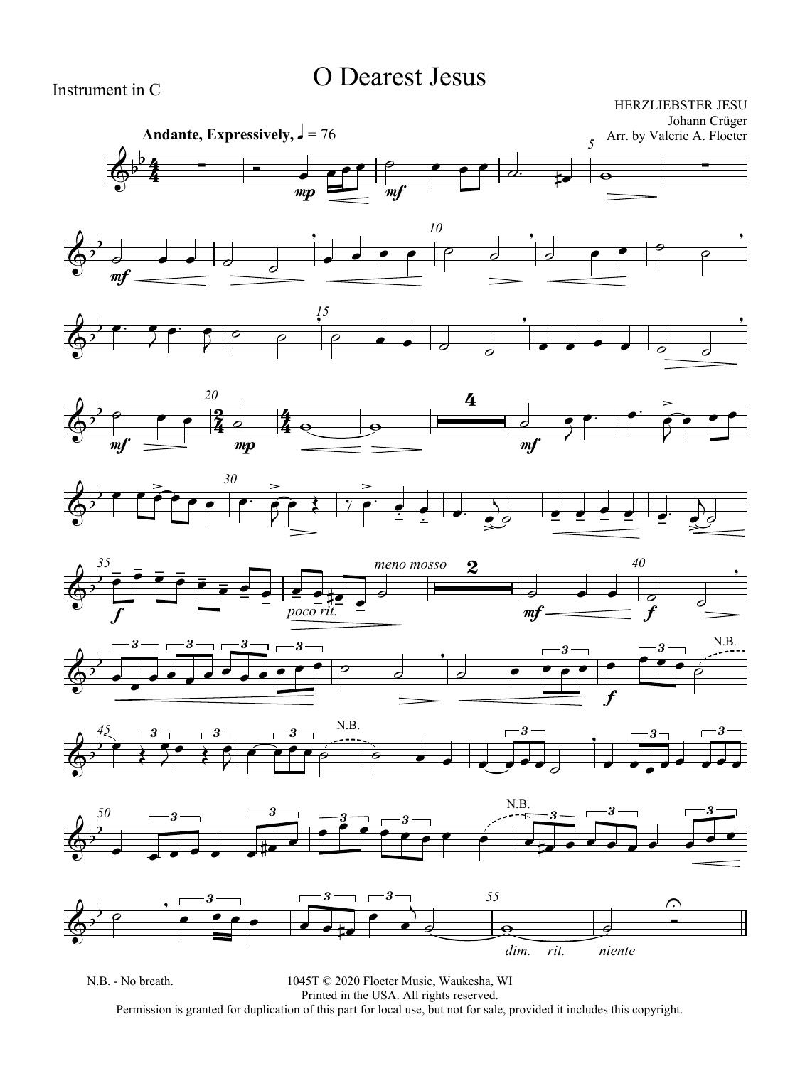### O Dearest Jesus

Instrument in C

HERZLIEBSTER JESU Johann Crüger

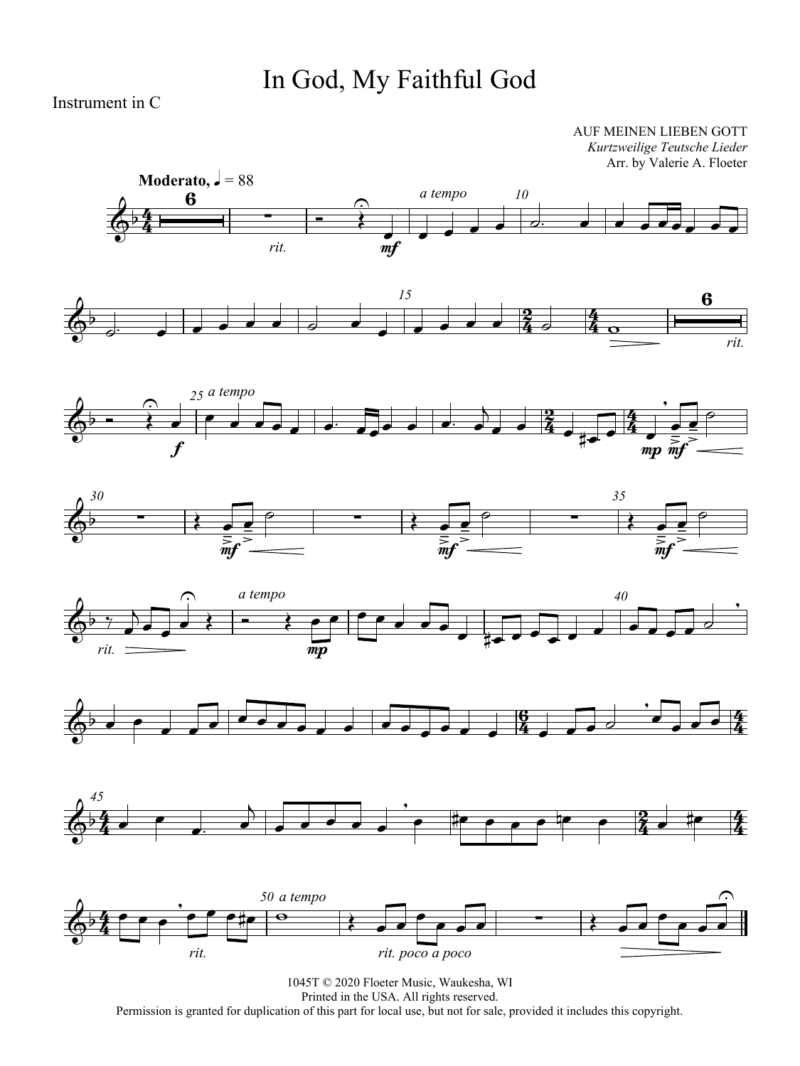## In God, My Faithful God

Instrument in C

AUF MEINEN LIEBEN GOTT *Kurtzweilige Teutsche Lieder* Arr. by Valerie A. Floeter















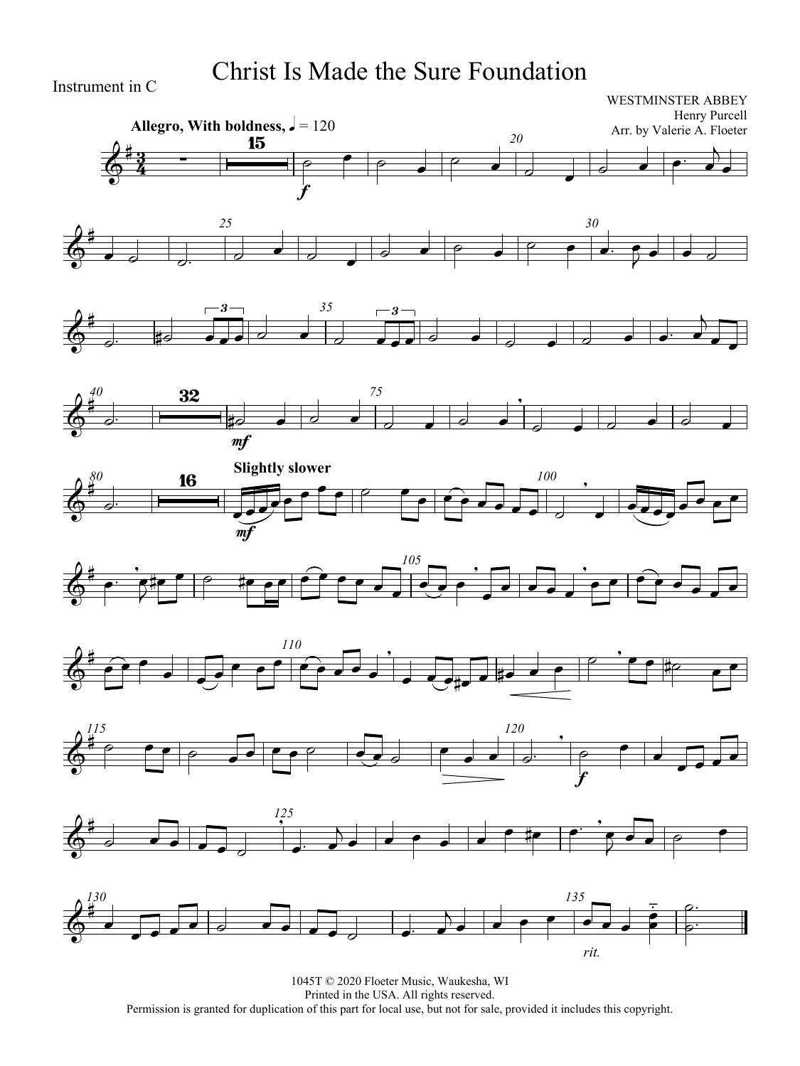### Christ Is Made the Sure Foundation

Instrument in C

#### WESTMINSTER ABBEY Henry Purcell Arr. by Valerie A. Floeter



















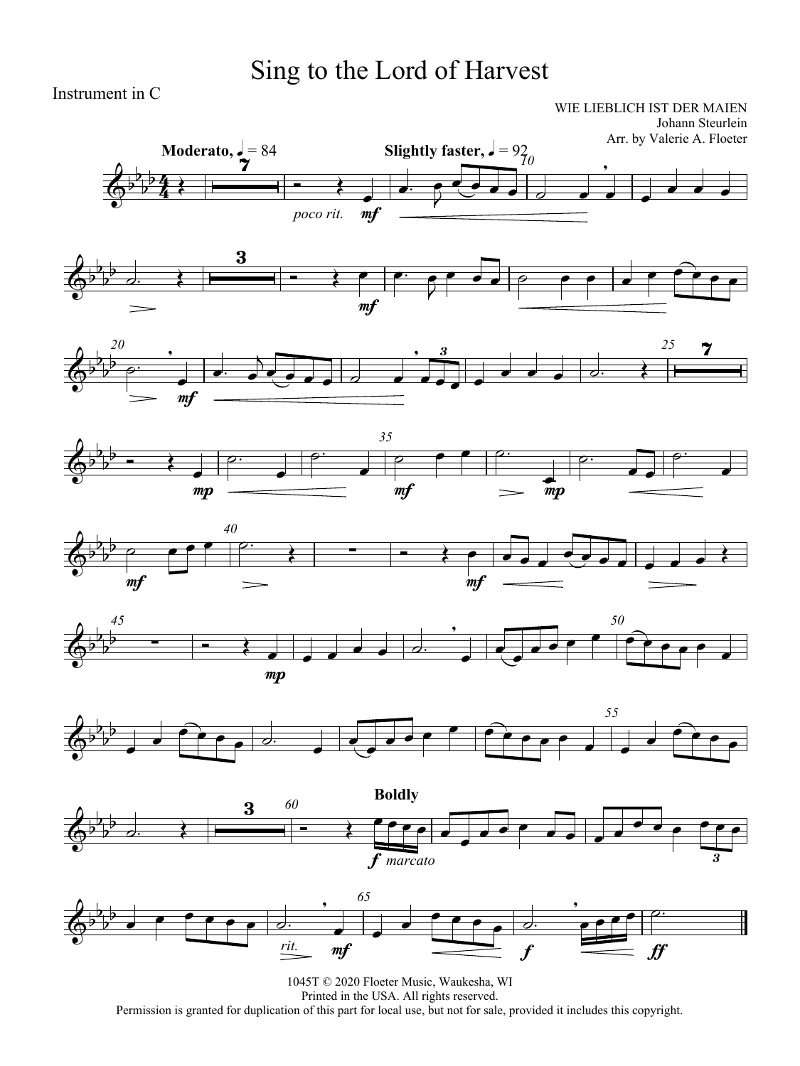# Sing to the Lord of Harvest

Instrument in C

WIE LIEBLICH IST DER MAIEN Johann Steurlein

















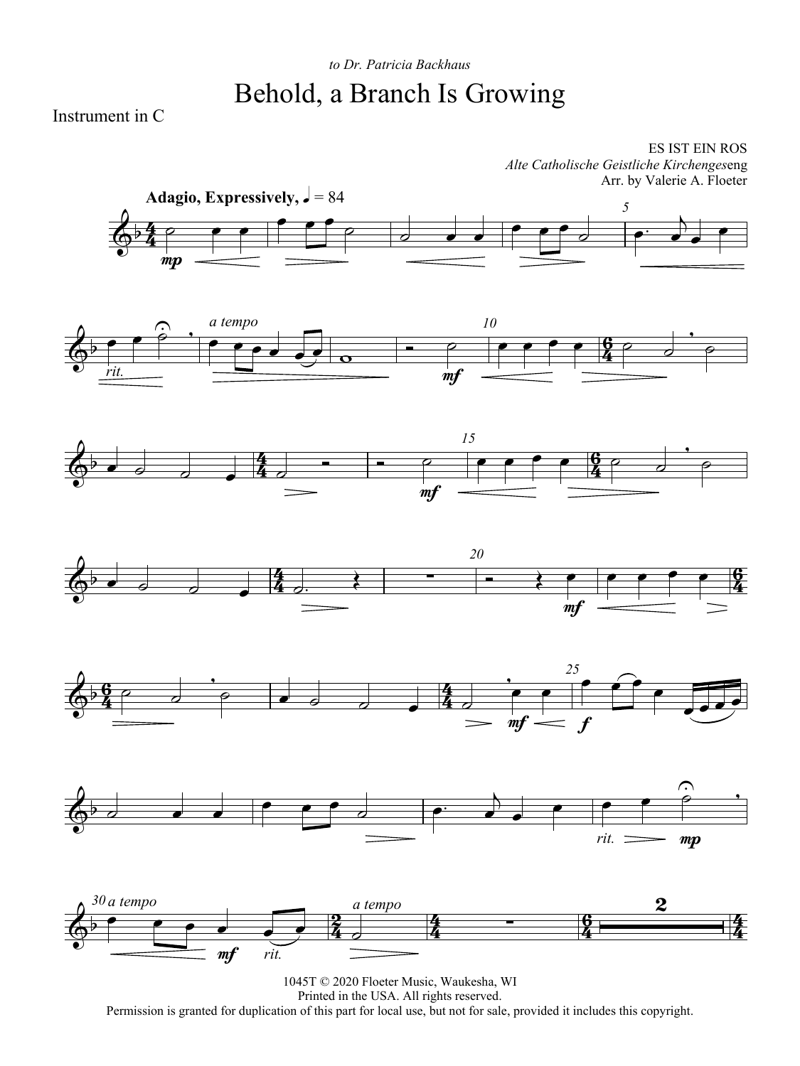### *to Dr. Patricia Backhaus* Behold, a Branch Is Growing

Instrument in C

ES IST EIN ROS *Alte Catholische Geistliche Kirchenges*eng Arr. by Valerie A. Floeter













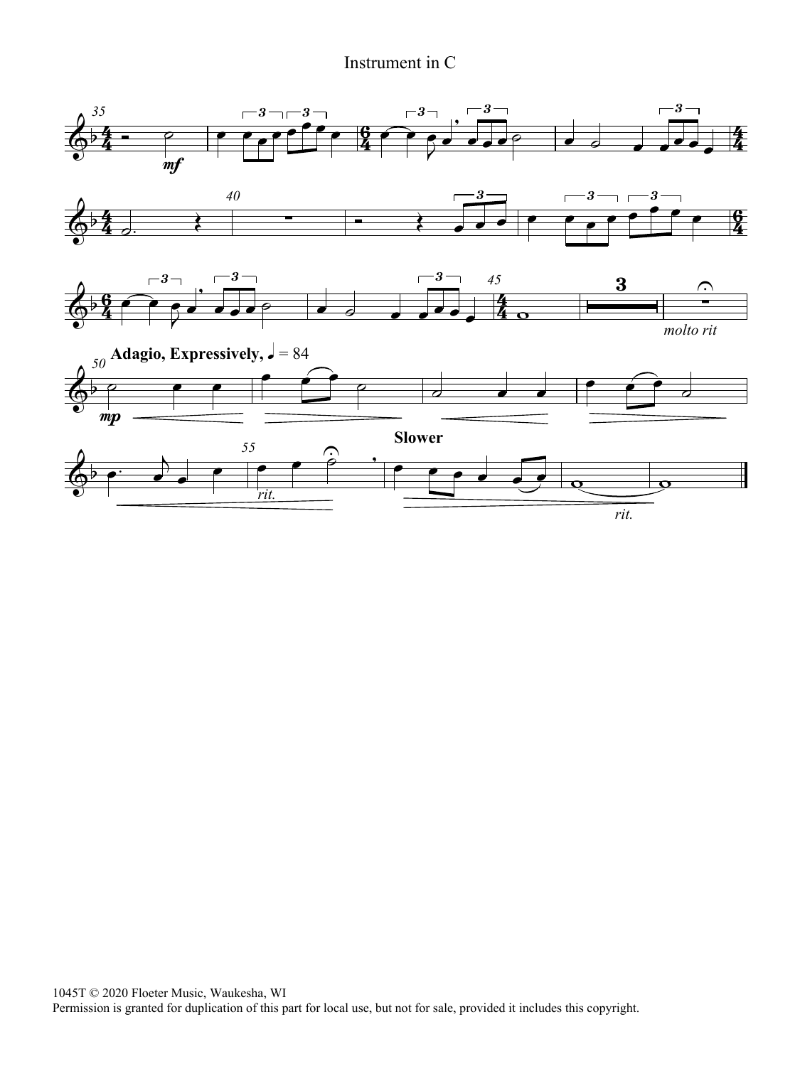#### Instrument in C

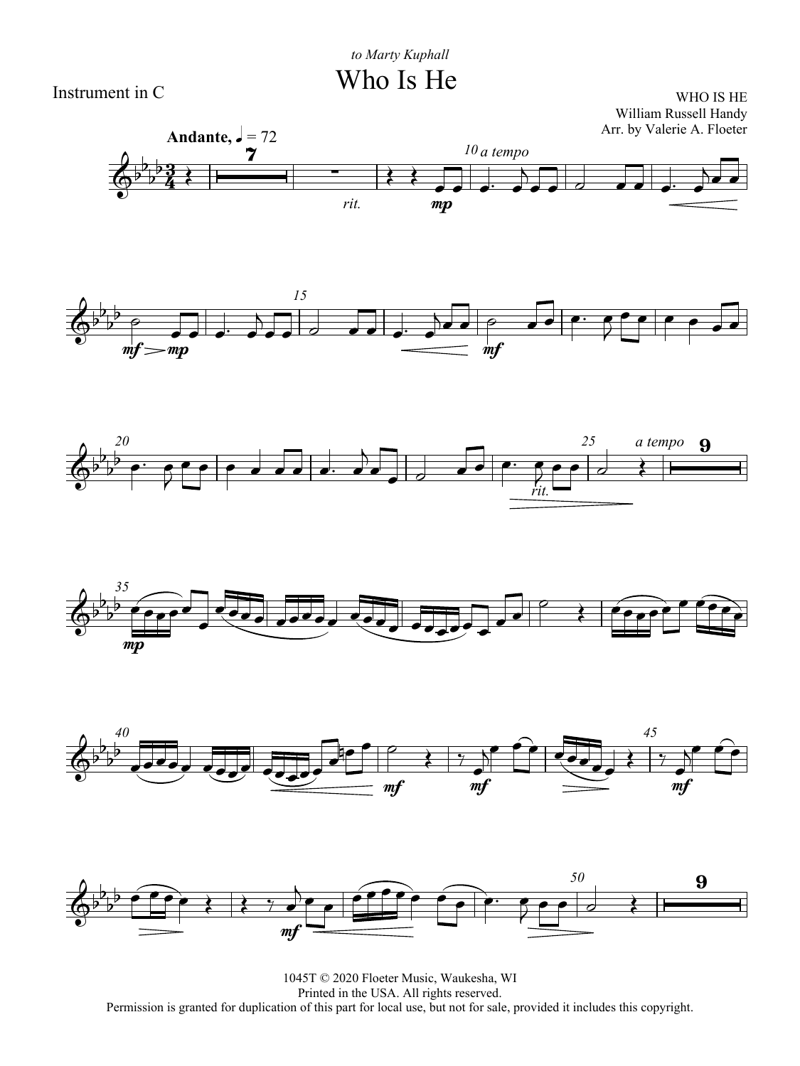Who Is He



WHO IS HE William Russell Handy













1045T © 2020 Floeter Music, Waukesha, WI Printed in the USA. All rights reserved. Permission is granted for duplication of this part for local use, but not for sale, provided it includes this copyright.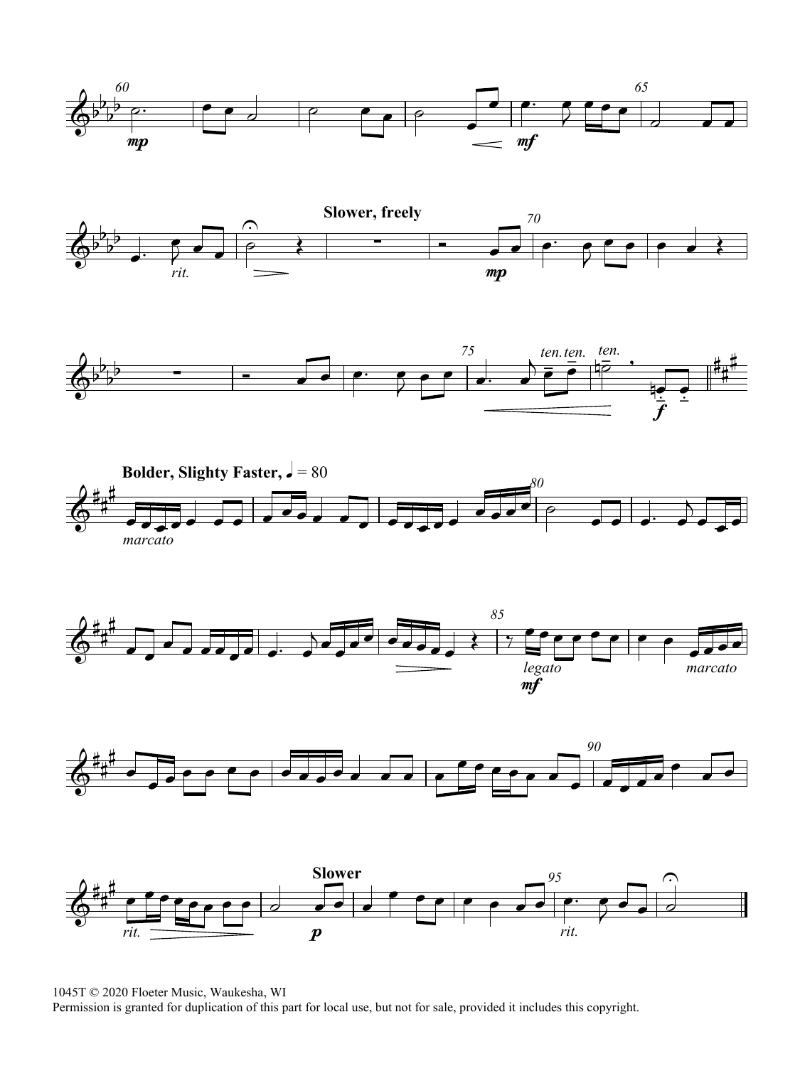













1045T © 2020 Floeter Music, Waukesha, WI

Permission is granted for duplication of this part for local use, but not for sale, provided it includes this copyright.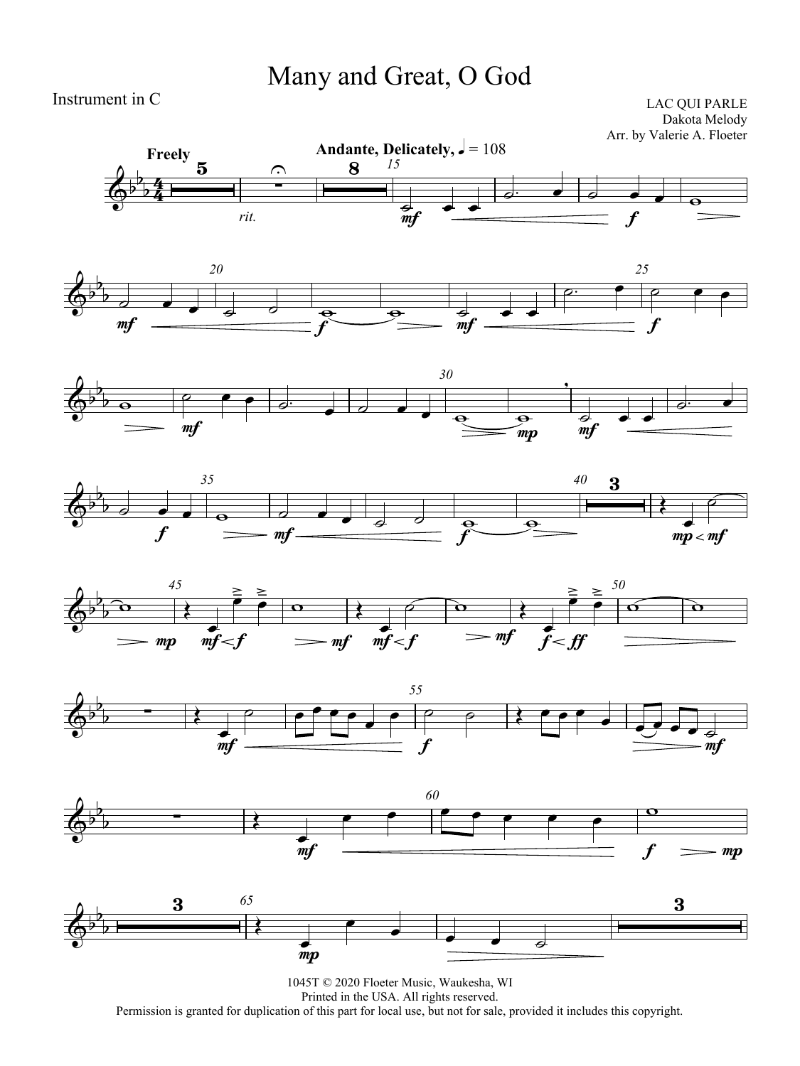### Many and Great, O God

Instrument in C

LAC QUI PARLE Dakota Melody Arr. by Valerie A. Floeter















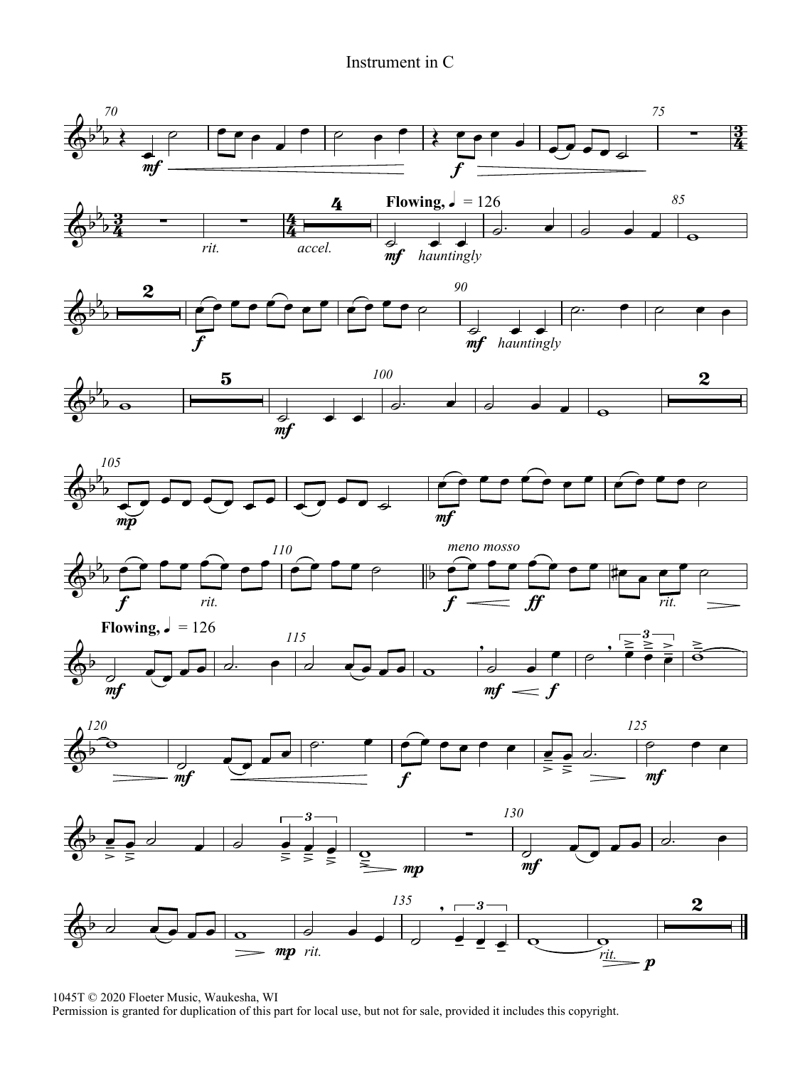#### Instrument in C



<sup>1045</sup>T © 2020 Floeter Music, Waukesha, WI

Permission is granted for duplication of this part for local use, but not for sale, provided it includes this copyright.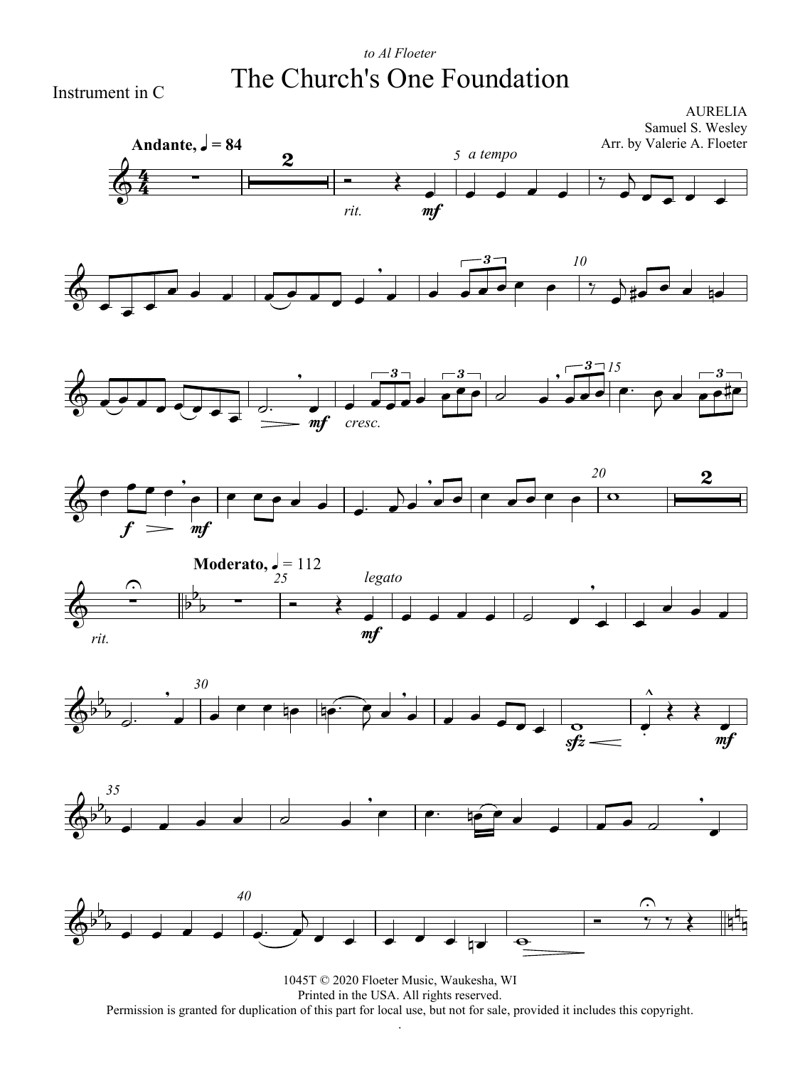### *to Al Floeter* The Church's One Foundation



















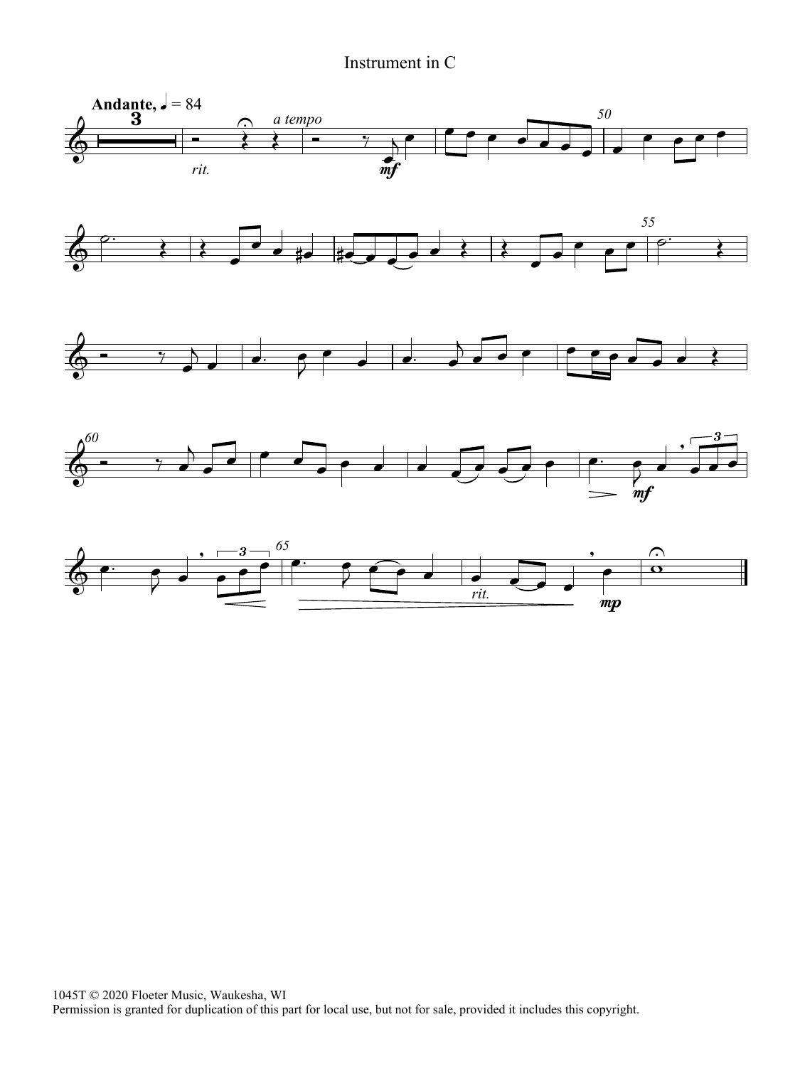Instrument in C